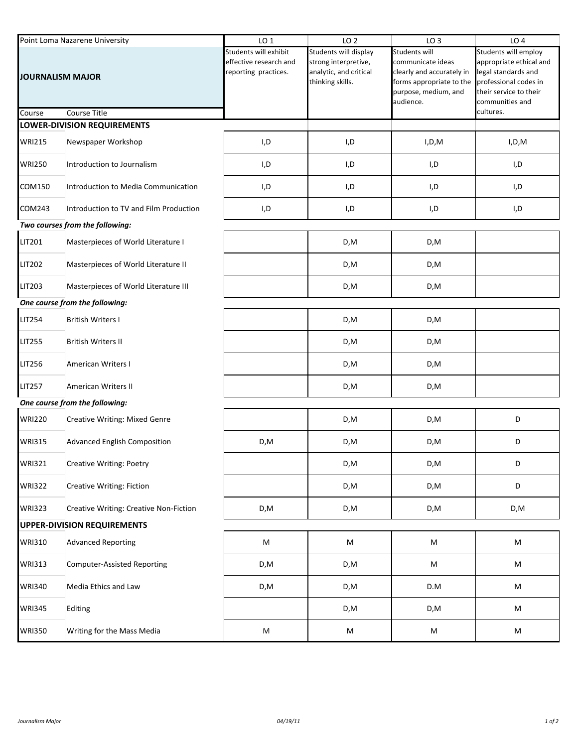| Point Loma Nazarene University                 |                                        | LO <sub>1</sub>                                                         | LO <sub>2</sub>                                                                             | LO <sub>3</sub>                                                                                                                         | LO <sub>4</sub>                                                                                                                                           |  |  |  |  |
|------------------------------------------------|----------------------------------------|-------------------------------------------------------------------------|---------------------------------------------------------------------------------------------|-----------------------------------------------------------------------------------------------------------------------------------------|-----------------------------------------------------------------------------------------------------------------------------------------------------------|--|--|--|--|
| <b>JOURNALISM MAJOR</b><br><b>Course Title</b> |                                        | Students will exhibit<br>effective research and<br>reporting practices. | Students will display<br>strong interpretive,<br>analytic, and critical<br>thinking skills. | <b>Students will</b><br>communicate ideas<br>clearly and accurately in<br>forms appropriate to the<br>purpose, medium, and<br>audience. | Students will employ<br>appropriate ethical and<br>legal standards and<br>professional codes in<br>their service to their<br>communities and<br>cultures. |  |  |  |  |
| Course                                         | LOWER-DIVISION REQUIREMENTS            |                                                                         |                                                                                             |                                                                                                                                         |                                                                                                                                                           |  |  |  |  |
| <b>WRI215</b>                                  | Newspaper Workshop                     | I,D                                                                     | I,D                                                                                         | I,D,M                                                                                                                                   | I,D,M                                                                                                                                                     |  |  |  |  |
| <b>WRI250</b>                                  | Introduction to Journalism             | I,D                                                                     | I,D                                                                                         | I,D                                                                                                                                     | I,D                                                                                                                                                       |  |  |  |  |
| COM150                                         | Introduction to Media Communication    | I,D                                                                     | I,D                                                                                         | I,D                                                                                                                                     | I,D                                                                                                                                                       |  |  |  |  |
| COM243                                         | Introduction to TV and Film Production | I,D                                                                     | I,D                                                                                         | I,D                                                                                                                                     | I,D                                                                                                                                                       |  |  |  |  |
| Two courses from the following:                |                                        |                                                                         |                                                                                             |                                                                                                                                         |                                                                                                                                                           |  |  |  |  |
| LIT201                                         | Masterpieces of World Literature I     |                                                                         | D,M                                                                                         | D,M                                                                                                                                     |                                                                                                                                                           |  |  |  |  |
| <b>LIT202</b>                                  | Masterpieces of World Literature II    |                                                                         | D,M                                                                                         | D,M                                                                                                                                     |                                                                                                                                                           |  |  |  |  |
| LIT203                                         | Masterpieces of World Literature III   |                                                                         | D,M                                                                                         | D,M                                                                                                                                     |                                                                                                                                                           |  |  |  |  |
| One course from the following:                 |                                        |                                                                         |                                                                                             |                                                                                                                                         |                                                                                                                                                           |  |  |  |  |
| <b>LIT254</b>                                  | <b>British Writers I</b>               |                                                                         | D,M                                                                                         | D,M                                                                                                                                     |                                                                                                                                                           |  |  |  |  |
| <b>LIT255</b>                                  | <b>British Writers II</b>              |                                                                         | D,M                                                                                         | D,M                                                                                                                                     |                                                                                                                                                           |  |  |  |  |
| <b>LIT256</b>                                  | <b>American Writers I</b>              |                                                                         | D,M                                                                                         | D,M                                                                                                                                     |                                                                                                                                                           |  |  |  |  |
| <b>LIT257</b>                                  | <b>American Writers II</b>             |                                                                         | D,M                                                                                         | D,M                                                                                                                                     |                                                                                                                                                           |  |  |  |  |
|                                                | One course from the following:         |                                                                         |                                                                                             |                                                                                                                                         |                                                                                                                                                           |  |  |  |  |
| <b>WRI220</b>                                  | <b>Creative Writing: Mixed Genre</b>   |                                                                         | D,M                                                                                         | D,M                                                                                                                                     | D                                                                                                                                                         |  |  |  |  |
| <b>WRI315</b>                                  | <b>Advanced English Composition</b>    | D,M                                                                     | D,M                                                                                         | D,M                                                                                                                                     | D                                                                                                                                                         |  |  |  |  |
| <b>WRI321</b>                                  | <b>Creative Writing: Poetry</b>        |                                                                         | D,M                                                                                         | D,M                                                                                                                                     | D                                                                                                                                                         |  |  |  |  |
| <b>WRI322</b>                                  | <b>Creative Writing: Fiction</b>       |                                                                         | D,M                                                                                         | D,M                                                                                                                                     | D                                                                                                                                                         |  |  |  |  |
| <b>WRI323</b>                                  | Creative Writing: Creative Non-Fiction | D,M                                                                     | D,M                                                                                         | D,M                                                                                                                                     | D,M                                                                                                                                                       |  |  |  |  |
|                                                | <b>UPPER-DIVISION REQUIREMENTS</b>     |                                                                         |                                                                                             |                                                                                                                                         |                                                                                                                                                           |  |  |  |  |
| <b>WRI310</b>                                  | <b>Advanced Reporting</b>              | M                                                                       | M                                                                                           | ${\sf M}$                                                                                                                               | M                                                                                                                                                         |  |  |  |  |
| <b>WRI313</b>                                  | <b>Computer-Assisted Reporting</b>     | D,M                                                                     | D,M                                                                                         | M                                                                                                                                       | M                                                                                                                                                         |  |  |  |  |
| <b>WRI340</b>                                  | Media Ethics and Law                   | D,M                                                                     | D,M                                                                                         | D.M                                                                                                                                     | M                                                                                                                                                         |  |  |  |  |
| <b>WRI345</b>                                  | Editing                                |                                                                         | D,M                                                                                         | D,M                                                                                                                                     | M                                                                                                                                                         |  |  |  |  |
| <b>WRI350</b>                                  | Writing for the Mass Media             | M                                                                       | M                                                                                           | M                                                                                                                                       | M                                                                                                                                                         |  |  |  |  |